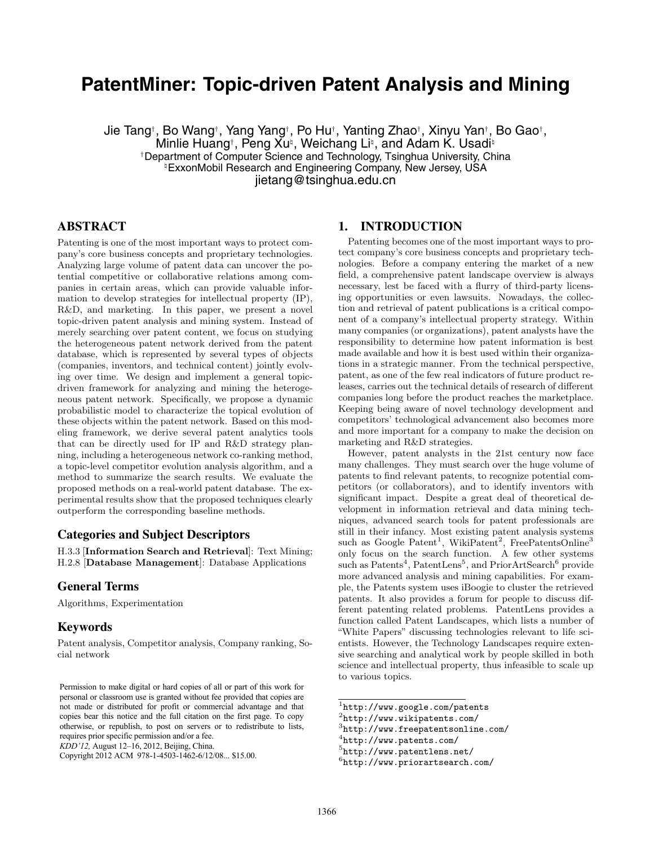# **PatentMiner: Topic-driven Patent Analysis and Mining**

Jie Tang†, Bo Wang†, Yang Yang†, Po Hu†, Yanting Zhao†, Xinyu Yan†, Bo Gao†, Minlie Huang†, Peng Xuʰ, Weichang Liʰ, and Adam K. Usadiʰ †Department of Computer Science and Technology, Tsinghua University, China <sup>‡</sup> ExxonMobil Research and Engineering Company, New Jersey, USA jietang@tsinghua.edu.cn

# **ABSTRACT**

Patenting is one of the most important ways to protect company's core business concepts and proprietary technologies. Analyzing large volume of patent data can uncover the potential competitive or collaborative relations among companies in certain areas, which can provide valuable information to develop strategies for intellectual property (IP), R&D, and marketing. In this paper, we present a novel topic-driven patent analysis and mining system. Instead of merely searching over patent content, we focus on studying the heterogeneous patent network derived from the patent database, which is represented by several types of objects (companies, inventors, and technical content) jointly evolving over time. We design and implement a general topicdriven framework for analyzing and mining the heterogeneous patent network. Specifically, we propose a dynamic probabilistic model to characterize the topical evolution of these objects within the patent network. Based on this modeling framework, we derive several patent analytics tools that can be directly used for IP and R&D strategy planning, including a heterogeneous network co-ranking method, a topic-level competitor evolution analysis algorithm, and a method to summarize the search results. We evaluate the proposed methods on a real-world patent database. The experimental results show that the proposed techniques clearly outperform the corresponding baseline methods.

#### **Categories and Subject Descriptors**

H.3.3 [**Information Search and Retrieval**]: Text Mining; H.2.8 [**Database Management**]: Database Applications

# **General Terms**

Algorithms, Experimentation

#### **Keywords**

Patent analysis, Competitor analysis, Company ranking, Social network

*KDD'12,* August 12–16, 2012, Beijing, China.

# **1. INTRODUCTION**

Patenting becomes one of the most important ways to protect company's core business concepts and proprietary technologies. Before a company entering the market of a new field, a comprehensive patent landscape overview is always necessary, lest be faced with a flurry of third-party licensing opportunities or even lawsuits. Nowadays, the collection and retrieval of patent publications is a critical component of a company's intellectual property strategy. Within many companies (or organizations), patent analysts have the responsibility to determine how patent information is best made available and how it is best used within their organizations in a strategic manner. From the technical perspective, patent, as one of the few real indicators of future product releases, carries out the technical details of research of different companies long before the product reaches the marketplace. Keeping being aware of novel technology development and competitors' technological advancement also becomes more and more important for a company to make the decision on marketing and R&D strategies.

However, patent analysts in the 21st century now face many challenges. They must search over the huge volume of patents to find relevant patents, to recognize potential competitors (or collaborators), and to identify inventors with significant impact. Despite a great deal of theoretical development in information retrieval and data mining techniques, advanced search tools for patent professionals are still in their infancy. Most existing patent analysis systems such as Google Patent<sup>1</sup>, WikiPatent<sup>2</sup>, FreePatentsOnline<sup>3</sup> only focus on the search function. A few other systems such as Patents<sup>4</sup>, PatentLens<sup>5</sup>, and PriorArtSearch<sup>6</sup> provide more advanced analysis and mining capabilities. For example, the Patents system uses iBoogie to cluster the retrieved patents. It also provides a forum for people to discuss different patenting related problems. PatentLens provides a function called Patent Landscapes, which lists a number of "White Papers" discussing technologies relevant to life scientists. However, the Technology Landscapes require extensive searching and analytical work by people skilled in both science and intellectual property, thus infeasible to scale up to various topics.

Permission to make digital or hard copies of all or part of this work for personal or classroom use is granted without fee provided that copies are not made or distributed for profit or commercial advantage and that copies bear this notice and the full citation on the first page. To copy otherwise, or republish, to post on servers or to redistribute to lists, requires prior specific permission and/or a fee.

Copyright 2012 ACM 978-1-4503-1462-6/12/08... \$15.00.

<sup>&</sup>lt;sup>1</sup>http://www.google.com/patents

 $\frac{2}{h}$ tth://www.wikipatents.com/

 $3$ http://www.freepatents.com/in

 $4$ http://www.patents.com/

 $^5$ http://www.patentlens.n

 $^6$ http://www.priorartsearch http://www.priorartsearch.com/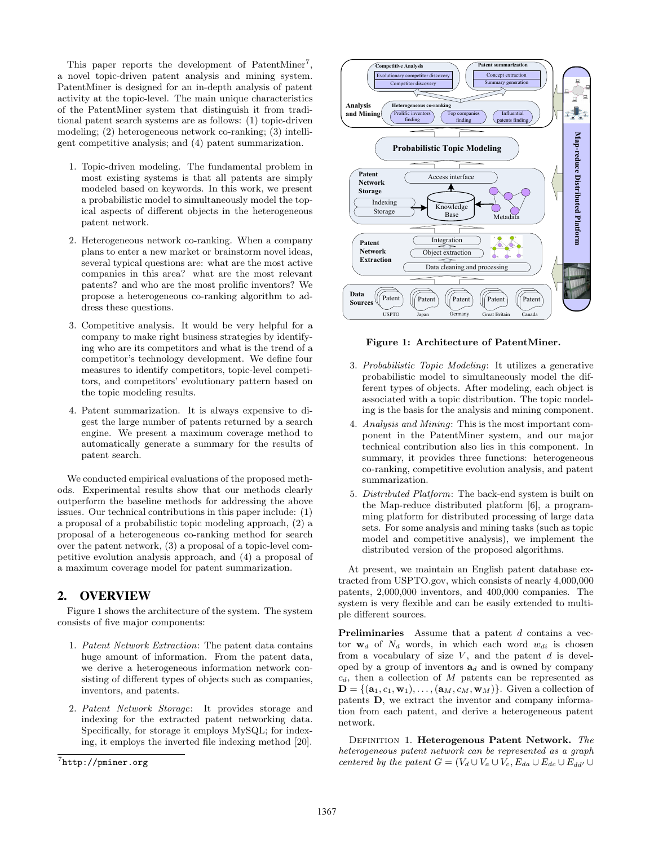This paper reports the development of PatentMiner<sup>7</sup>, a novel topic-driven patent analysis and mining system. PatentMiner is designed for an in-depth analysis of patent activity at the topic-level. The main unique characteristics of the PatentMiner system that distinguish it from traditional patent search systems are as follows: (1) topic-driven modeling; (2) heterogeneous network co-ranking; (3) intelligent competitive analysis; and (4) patent summarization.

- 1. Topic-driven modeling. The fundamental problem in most existing systems is that all patents are simply modeled based on keywords. In this work, we present a probabilistic model to simultaneously model the topical aspects of different objects in the heterogeneous patent network.
- 2. Heterogeneous network co-ranking. When a company plans to enter a new market or brainstorm novel ideas, several typical questions are: what are the most active companies in this area? what are the most relevant patents? and who are the most prolific inventors? We propose a heterogeneous co-ranking algorithm to address these questions.
- 3. Competitive analysis. It would be very helpful for a company to make right business strategies by identifying who are its competitors and what is the trend of a competitor's technology development. We define four measures to identify competitors, topic-level competitors, and competitors' evolutionary pattern based on the topic modeling results.
- 4. Patent summarization. It is always expensive to digest the large number of patents returned by a search engine. We present a maximum coverage method to automatically generate a summary for the results of patent search.

We conducted empirical evaluations of the proposed methods. Experimental results show that our methods clearly outperform the baseline methods for addressing the above issues. Our technical contributions in this paper include: (1) a proposal of a probabilistic topic modeling approach, (2) a proposal of a heterogeneous co-ranking method for search over the patent network, (3) a proposal of a topic-level competitive evolution analysis approach, and (4) a proposal of a maximum coverage model for patent summarization.

# **2. OVERVIEW**

Figure 1 shows the architecture of the system. The system consists of five major components:

- 1. *Patent Network Extraction*: The patent data contains huge amount of information. From the patent data, we derive a heterogeneous information network consisting of different types of objects such as companies, inventors, and patents.
- 2. *Patent Network Storage*: It provides storage and indexing for the extracted patent networking data. Specifically, for storage it employs MySQL; for indexing, it employs the inverted file indexing method [20].



**Figure 1: Architecture of PatentMiner.**

- 3. *Probabilistic Topic Modeling*: It utilizes a generative probabilistic model to simultaneously model the different types of objects. After modeling, each object is associated with a topic distribution. The topic modeling is the basis for the analysis and mining component.
- 4. *Analysis and Mining*: This is the most important component in the PatentMiner system, and our major technical contribution also lies in this component. In summary, it provides three functions: heterogeneous co-ranking, competitive evolution analysis, and patent summarization.
- 5. *Distributed Platform*: The back-end system is built on the Map-reduce distributed platform [6], a programming platform for distributed processing of large data sets. For some analysis and mining tasks (such as topic model and competitive analysis), we implement the distributed version of the proposed algorithms.

At present, we maintain an English patent database extracted from USPTO.gov, which consists of nearly 4,000,000 patents, 2,000,000 inventors, and 400,000 companies. The system is very flexible and can be easily extended to multiple different sources.

**Preliminaries** Assume that a patent d contains a vector  $w_d$  of  $N_d$  words, in which each word  $w_{di}$  is chosen from a vocabulary of size  $V$ , and the patent  $d$  is developed by a group of inventors  $a_d$  and is owned by company  $c_d$ , then a collection of M patents can be represented as  $\mathbf{D} = \{(\mathbf{a}_1, c_1, \mathbf{w}_1), \ldots, (\mathbf{a}_M, c_M, \mathbf{w}_M)\}\.$  Given a collection of patents **D**, we extract the inventor and company information from each patent, and derive a heterogeneous patent network.

Definition 1. **Heterogenous Patent Network.** *The heterogeneous patent network can be represented as a graph centered by the patent*  $G = (V_d \cup V_a \cup V_c, E_{da} \cup E_{dc} \cup E_{dd'} \cup E_{dd'})$ 

<sup>7</sup>http://pminer.org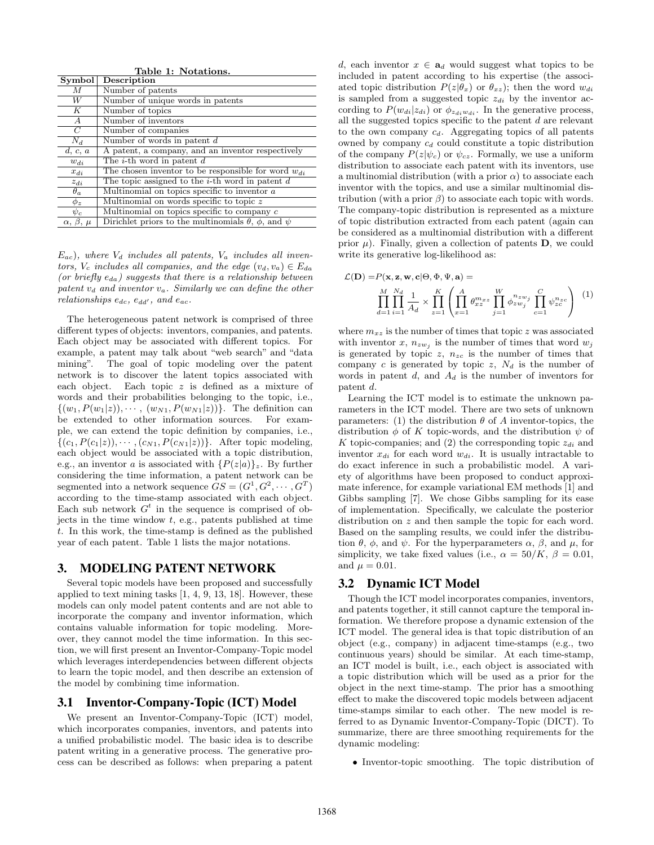| Symbol               | rable 1: Notations.<br>Description                                  |
|----------------------|---------------------------------------------------------------------|
| М                    | Number of patents                                                   |
| W                    | Number of unique words in patents                                   |
| K                    | Number of topics                                                    |
| $\overline{A}$       | Number of inventors                                                 |
| $\overline{C}$       | Number of companies                                                 |
| $N_d$                | Number of words in patent $d$                                       |
| d, c, a              | A patent, a company, and an inventor respectively                   |
| $w_{di}$             | The <i>i</i> -th word in patent $d$                                 |
| $x_{di}$             | The chosen inventor to be responsible for word $w_{di}$             |
| $z_{di}$             | The topic assigned to the <i>i</i> -th word in patent $d$           |
| $\theta_a$           | Multinomial on topics specific to inventor a                        |
| $\phi_z$             | Multinomial on words specific to topic z                            |
| $\psi_c$             | Multinomial on topics specific to company $c$                       |
| $\alpha, \beta, \mu$ | Dirichlet priors to the multinomials $\theta$ , $\phi$ , and $\psi$ |

**Table 1: Notations.**

 $E_{ac}$ ), where  $V_d$  *includes all patents,*  $V_a$  *includes all inventors,*  $V_c$  *includes all companies, and the edge*  $(v_d, v_a) \in E_{da}$ *(or briefly* eda*) suggests that there is a relationship between*  $\eta$ *patent*  $v_d$  *and inventor*  $v_a$ *. Similarly we can define the other relationships*  $e_{dc}$ ,  $e_{dd'}$ , and  $e_{ac}$ .

The heterogeneous patent network is comprised of three different types of objects: inventors, companies, and patents. Each object may be associated with different topics. For example, a patent may talk about "web search" and "data mining". The goal of topic modeling over the patent network is to discover the latent topics associated with each object. Each topic z is defined as a mixture of words and their probabilities belonging to the topic, i.e.,  $\{(w_1, P(w_1|z)), \cdots, (w_{N1}, P(w_{N1}|z))\}.$  The definition can be extended to other information sources. For example, we can extend the topic definition by companies, i.e.,  $\{(c_1, P(c_1|z)), \cdots, (c_{N1}, P(c_{N1}|z))\}.$  After topic modeling, each object would be associated with a topic distribution, e.g., an inventor a is associated with  $\{P(z|a)\}_z$ . By further considering the time information, a patent network can be segmented into a network sequence  $GS = (G^1, G^2, \cdots, G^T)$ according to the time-stamp associated with each object. Each sub network  $G<sup>t</sup>$  in the sequence is comprised of objects in the time window  $t$ , e.g., patents published at time t. In this work, the time-stamp is defined as the published year of each patent. Table 1 lists the major notations.

#### **3. MODELING PATENT NETWORK**

Several topic models have been proposed and successfully applied to text mining tasks [1, 4, 9, 13, 18]. However, these models can only model patent contents and are not able to incorporate the company and inventor information, which contains valuable information for topic modeling. Moreover, they cannot model the time information. In this section, we will first present an Inventor-Company-Topic model which leverages interdependencies between different objects to learn the topic model, and then describe an extension of the model by combining time information.

# **3.1 Inventor-Company-Topic (ICT) Model**

We present an Inventor-Company-Topic (ICT) model, which incorporates companies, inventors, and patents into a unified probabilistic model. The basic idea is to describe patent writing in a generative process. The generative process can be described as follows: when preparing a patent d, each inventor  $x \in \mathbf{a}_d$  would suggest what topics to be included in patent according to his expertise (the associated topic distribution  $P(z|\theta_x)$  or  $\theta_{xz}$ ; then the word  $w_{di}$ is sampled from a suggested topic  $z_{di}$  by the inventor according to  $P(w_{di}|z_{di})$  or  $\phi_{z_{di}w_{di}}$ . In the generative process, all the suggested topics specific to the patent  $d$  are relevant to the own company  $c_d$ . Aggregating topics of all patents owned by company  $c_d$  could constitute a topic distribution of the company  $P(z|\psi_c)$  or  $\psi_{cz}$ . Formally, we use a uniform distribution to associate each patent with its inventors, use a multinomial distribution (with a prior  $\alpha$ ) to associate each inventor with the topics, and use a similar multinomial distribution (with a prior  $\beta$ ) to associate each topic with words. The company-topic distribution is represented as a mixture of topic distribution extracted from each patent (again can be considered as a multinomial distribution with a different prior  $\mu$ ). Finally, given a collection of patents **D**, we could write its generative log-likelihood as:

$$
\mathcal{L}(\mathbf{D}) = P(\mathbf{x}, \mathbf{z}, \mathbf{w}, \mathbf{c} | \Theta, \Phi, \Psi, \mathbf{a}) =
$$

$$
\prod_{d=1}^{M} \prod_{i=1}^{N_d} \frac{1}{A_d} \times \prod_{z=1}^{K} \left( \prod_{x=1}^{A} \theta_{xz}^{m_{xz}} \prod_{j=1}^{W} \phi_{zwj}^{n_{zwj}} \prod_{c=1}^{C} \psi_{zc}^{n_{zc}} \right) (1)
$$

where  $m_{xz}$  is the number of times that topic z was associated with inventor x,  $n_{zw_j}$  is the number of times that word  $w_j$ is generated by topic  $z$ ,  $n_{zc}$  is the number of times that company c is generated by topic z,  $N_d$  is the number of words in patent  $d$ , and  $A_d$  is the number of inventors for patent d.

Learning the ICT model is to estimate the unknown parameters in the ICT model. There are two sets of unknown parameters: (1) the distribution  $\theta$  of A inventor-topics, the distribution  $\phi$  of K topic-words, and the distribution  $\psi$  of K topic-companies; and (2) the corresponding topic  $z_{di}$  and inventor  $x_{di}$  for each word  $w_{di}$ . It is usually intractable to do exact inference in such a probabilistic model. A variety of algorithms have been proposed to conduct approximate inference, for example variational EM methods [1] and Gibbs sampling [7]. We chose Gibbs sampling for its ease of implementation. Specifically, we calculate the posterior distribution on z and then sample the topic for each word. Based on the sampling results, we could infer the distribution  $\theta$ ,  $\phi$ , and  $\psi$ . For the hyperparameters  $\alpha$ ,  $\beta$ , and  $\mu$ , for simplicity, we take fixed values (i.e.,  $\alpha = 50/K$ ,  $\beta = 0.01$ , and  $\mu = 0.01$ .

#### **3.2 Dynamic ICT Model**

Though the ICT model incorporates companies, inventors, and patents together, it still cannot capture the temporal information. We therefore propose a dynamic extension of the ICT model. The general idea is that topic distribution of an object (e.g., company) in adjacent time-stamps (e.g., two continuous years) should be similar. At each time-stamp, an ICT model is built, i.e., each object is associated with a topic distribution which will be used as a prior for the object in the next time-stamp. The prior has a smoothing effect to make the discovered topic models between adjacent time-stamps similar to each other. The new model is referred to as Dynamic Inventor-Company-Topic (DICT). To summarize, there are three smoothing requirements for the dynamic modeling:

• Inventor-topic smoothing. The topic distribution of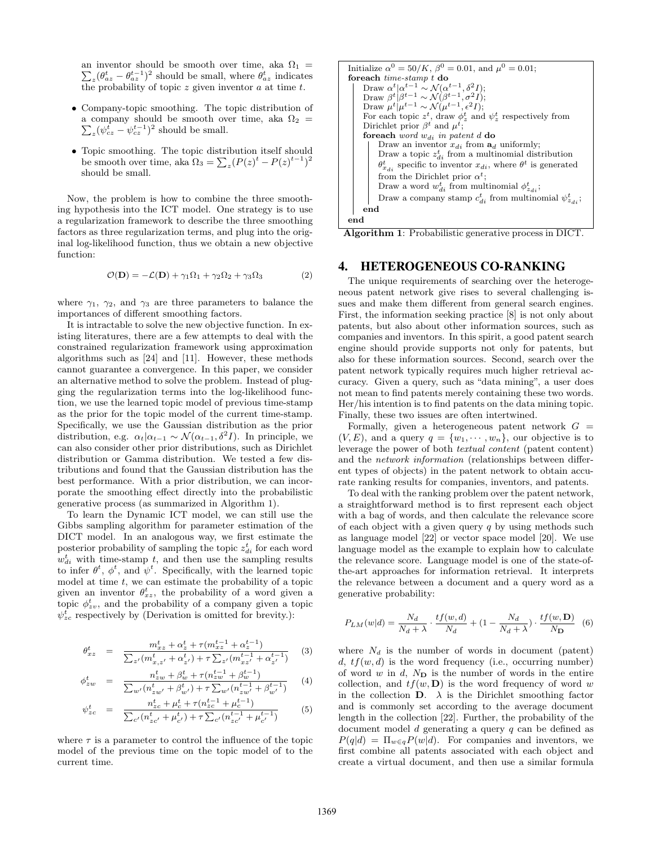an inventor should be smooth over time, aka  $\Omega_1$  =  $\sum_{z}$  $(\theta_{az}^{t} - \theta_{az}^{t-1})^2$  should be small, where  $\theta_{az}^{t}$  indicates the probability of topic  $z$  given inventor  $a$  at time  $t$ .

- Company-topic smoothing. The topic distribution of a company should be smooth over time, aka  $\Omega_2$  =  $\sum_{z}(\psi_{cz}^{t}-\psi_{cz}^{t-1})^2$  should be small.
- Topic smoothing. The topic distribution itself should be smooth over time, aka  $\Omega_3 = \sum_z (P(z)^t - P(z)^{t-1})^2$ should be small.

Now, the problem is how to combine the three smoothing hypothesis into the ICT model. One strategy is to use a regularization framework to describe the three smoothing factors as three regularization terms, and plug into the original log-likelihood function, thus we obtain a new objective function:

$$
\mathcal{O}(\mathbf{D}) = -\mathcal{L}(\mathbf{D}) + \gamma_1 \Omega_1 + \gamma_2 \Omega_2 + \gamma_3 \Omega_3 \tag{2}
$$

where  $\gamma_1$ ,  $\gamma_2$ , and  $\gamma_3$  are three parameters to balance the importances of different smoothing factors.

It is intractable to solve the new objective function. In existing literatures, there are a few attempts to deal with the constrained regularization framework using approximation algorithms such as [24] and [11]. However, these methods cannot guarantee a convergence. In this paper, we consider an alternative method to solve the problem. Instead of plugging the regularization terms into the log-likelihood function, we use the learned topic model of previous time-stamp as the prior for the topic model of the current time-stamp. Specifically, we use the Gaussian distribution as the prior distribution, e.g.  $\alpha_t|\alpha_{t-1} \sim \mathcal{N}(\alpha_{t-1}, \delta^2 I)$ . In principle, we can also consider other prior distributions, such as Dirichlet distribution or Gamma distribution. We tested a few distributions and found that the Gaussian distribution has the best performance. With a prior distribution, we can incorporate the smoothing effect directly into the probabilistic generative process (as summarized in Algorithm 1).

To learn the Dynamic ICT model, we can still use the Gibbs sampling algorithm for parameter estimation of the DICT model. In an analogous way, we first estimate the posterior probability of sampling the topic  $z_{di}^t$  for each word  $w_{di}^{t}$  with time-stamp t, and then use the sampling results to infer  $\theta^t$ ,  $\phi^t$ , and  $\psi^t$ . Specifically, with the learned topic model at time  $t$ , we can estimate the probability of a topic given an inventor  $\theta_{xz}^t$ , the probability of a word given a topic  $\phi_{zv}^t$ , and the probability of a company given a topic  $\psi_{zc}^{\hat{t}}$  respectively by (Derivation is omitted for brevity.):

$$
\theta_{xz}^t = \frac{m_{xz}^t + \alpha_z^t + \tau (m_{xz}^{t-1} + \alpha_z^{t-1})}{\sum_{z'} (m_{x,z'}^t + \alpha_{z'}^t) + \tau \sum_{z'} (m_{xz'}^{t-1} + \alpha_{z'}^{t-1})} \tag{3}
$$

$$
\phi_{zw}^t = \frac{n_{zw}^t + \beta_w^t + \tau(n_{zw}^{t-1} + \beta_w^{t-1})}{\sum_{w'} (n_{zw'}^t + \beta_{w'}^t) + \tau \sum_{w'} (n_{zw'}^{t-1} + \beta_{w'}^{t-1})} \tag{4}
$$

$$
\psi_{zc}^t = \frac{n_{zc}^t + \mu_c^t + \tau (n_{zc}^{t-1} + \mu_c^{t-1})}{\sum_{c'} (n_{zc'}^t + \mu_{c'}^t) + \tau \sum_{c'} (n_{zc'}^{t-1} + \mu_{c'}^{t-1})}
$$
(5)

where  $\tau$  is a parameter to control the influence of the topic model of the previous time on the topic model of to the current time.



**Algorithm 1**: Probabilistic generative process in DICT.

#### **4. HETEROGENEOUS CO-RANKING**

The unique requirements of searching over the heterogeneous patent network give rises to several challenging issues and make them different from general search engines. First, the information seeking practice [8] is not only about patents, but also about other information sources, such as companies and inventors. In this spirit, a good patent search engine should provide supports not only for patents, but also for these information sources. Second, search over the patent network typically requires much higher retrieval accuracy. Given a query, such as "data mining", a user does not mean to find patents merely containing these two words. Her/his intention is to find patents on the data mining topic. Finally, these two issues are often intertwined.

Formally, given a heterogeneous patent network  $G =$  $(V, E)$ , and a query  $q = \{w_1, \dots, w_n\}$ , our objective is to leverage the power of both *textual content* (patent content) and the *network information* (relationships between different types of objects) in the patent network to obtain accurate ranking results for companies, inventors, and patents.

To deal with the ranking problem over the patent network, a straightforward method is to first represent each object with a bag of words, and then calculate the relevance score of each object with a given query  $q$  by using methods such as language model [22] or vector space model [20]. We use language model as the example to explain how to calculate the relevance score. Language model is one of the state-ofthe-art approaches for information retrieval. It interprets the relevance between a document and a query word as a generative probability:

$$
P_{LM}(w|d) = \frac{N_d}{N_d + \lambda} \cdot \frac{tf(w, d)}{N_d} + (1 - \frac{N_d}{N_d + \lambda}) \cdot \frac{tf(w, \mathbf{D})}{N_{\mathbf{D}}} \tag{6}
$$

where  $N_d$  is the number of words in document (patent) d,  $tf(w, d)$  is the word frequency (i.e., occurring number) of word w in d,  $N_{\text{D}}$  is the number of words in the entire collection, and  $tf(w, D)$  is the word frequency of word w in the collection **D**.  $\lambda$  is the Dirichlet smoothing factor and is commonly set according to the average document length in the collection [22]. Further, the probability of the document model d generating a query q can be defined as  $P(q|d) = \Pi_{w \in q}P(w|d)$ . For companies and inventors, we first combine all patents associated with each object and create a virtual document, and then use a similar formula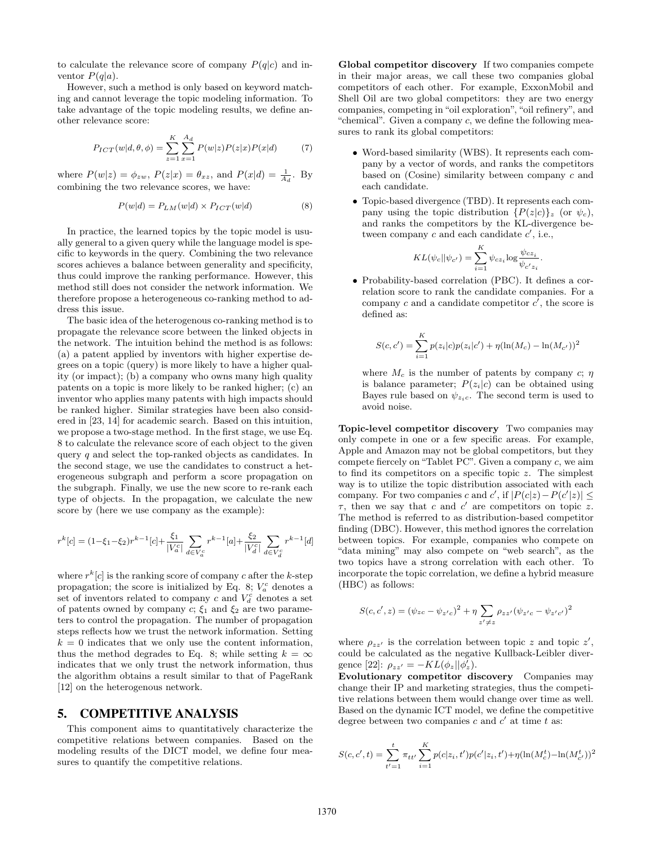to calculate the relevance score of company  $P(q|c)$  and inventor  $P(q|a)$ .

However, such a method is only based on keyword matching and cannot leverage the topic modeling information. To take advantage of the topic modeling results, we define another relevance score:

$$
P_{ICT}(w|d, \theta, \phi) = \sum_{z=1}^{K} \sum_{x=1}^{A_d} P(w|z) P(z|x) P(x|d)
$$
 (7)

where  $P(w|z) = \phi_{zw}$ ,  $P(z|x) = \theta_{xz}$ , and  $P(x|d) = \frac{1}{A_d}$ . By combining the two relevance scores, we have:

$$
P(w|d) = P_{LM}(w|d) \times P_{ICT}(w|d)
$$
\n(8)

In practice, the learned topics by the topic model is usually general to a given query while the language model is specific to keywords in the query. Combining the two relevance scores achieves a balance between generality and specificity, thus could improve the ranking performance. However, this method still does not consider the network information. We therefore propose a heterogeneous co-ranking method to address this issue.

The basic idea of the heterogenous co-ranking method is to propagate the relevance score between the linked objects in the network. The intuition behind the method is as follows: (a) a patent applied by inventors with higher expertise degrees on a topic (query) is more likely to have a higher quality (or impact); (b) a company who owns many high quality patents on a topic is more likely to be ranked higher; (c) an inventor who applies many patents with high impacts should be ranked higher. Similar strategies have been also considered in [23, 14] for academic search. Based on this intuition, we propose a two-stage method. In the first stage, we use Eq. 8 to calculate the relevance score of each object to the given query  $q$  and select the top-ranked objects as candidates. In the second stage, we use the candidates to construct a heterogeneous subgraph and perform a score propagation on the subgraph. Finally, we use the new score to re-rank each type of objects. In the propagation, we calculate the new score by (here we use company as the example):

$$
r^k[c] = (1-\xi_1-\xi_2) r^{k-1}[c] + \frac{\xi_1}{|V_a^c|} \sum_{d \in V_a^c} r^{k-1}[a] + \frac{\xi_2}{|V_d^c|} \sum_{d \in V_d^c} r^{k-1}[d]
$$

where  $r^k[c]$  is the ranking score of company c after the k-step propagation; the score is initialized by Eq. 8;  $V_a^c$  denotes a set of inventors related to company c and  $V_d^c$  denotes a set of patents owned by company  $c; \xi_1$  and  $\xi_2$  are two parameters to control the propagation. The number of propagation steps reflects how we trust the network information. Setting  $k = 0$  indicates that we only use the content information, thus the method degrades to Eq. 8; while setting  $k = \infty$ indicates that we only trust the network information, thus the algorithm obtains a result similar to that of PageRank [12] on the heterogenous network.

## **5. COMPETITIVE ANALYSIS**

This component aims to quantitatively characterize the competitive relations between companies. Based on the modeling results of the DICT model, we define four measures to quantify the competitive relations.

**Global competitor discovery** If two companies compete in their major areas, we call these two companies global competitors of each other. For example, ExxonMobil and Shell Oil are two global competitors: they are two energy companies, competing in "oil exploration", "oil refinery", and "chemical". Given a company  $c$ , we define the following measures to rank its global competitors:

- Word-based similarity (WBS). It represents each company by a vector of words, and ranks the competitors based on (Cosine) similarity between company c and each candidate.
- Topic-based divergence (TBD). It represents each company using the topic distribution  $\{P(z|c)\}_z$  (or  $\psi_c$ ), and ranks the competitors by the KL-divergence between company  $c$  and each candidate  $c'$ , i.e.,

$$
KL(\psi_c||\psi_{c'}) = \sum_{i=1}^{K} \psi_{c z_i} \log \frac{\psi_{c z_i}}{\psi_{c' z_i}}.
$$

• Probability-based correlation (PBC). It defines a correlation score to rank the candidate companies. For a company  $c$  and a candidate competitor  $c'$ , the score is defined as:

$$
S(c, c') = \sum_{i=1}^{K} p(z_i|c)p(z_i|c') + \eta(\ln(M_c) - \ln(M_{c'}))^2
$$

where  $M_c$  is the number of patents by company  $c; \eta$ is balance parameter;  $P(z_i|c)$  can be obtained using Bayes rule based on  $\psi_{z,c}$ . The second term is used to avoid noise.

**Topic-level competitor discovery** Two companies may only compete in one or a few specific areas. For example, Apple and Amazon may not be global competitors, but they compete fiercely on "Tablet PC". Given a company c, we aim to find its competitors on a specific topic  $z$ . The simplest way is to utilize the topic distribution associated with each company. For two companies c and c', if  $|P(c|z) - P(c'|z)| \le$  $\tau$ , then we say that c and c' are competitors on topic z. The method is referred to as distribution-based competitor finding (DBC). However, this method ignores the correlation between topics. For example, companies who compete on "data mining" may also compete on "web search", as the two topics have a strong correlation with each other. To incorporate the topic correlation, we define a hybrid measure (HBC) as follows:

$$
S(c, c', z) = (\psi_{zc} - \psi_{z'c})^2 + \eta \sum_{z' \neq z} \rho_{zz'} (\psi_{z'c} - \psi_{z'c'})^2
$$

where  $\rho_{zz'}$  is the correlation between topic z and topic z', could be calculated as the negative Kullback-Leibler divergence [22]:  $\rho_{zz'} = -KL(\phi_z || \phi_z').$ 

**Evolutionary competitor discovery** Companies may change their IP and marketing strategies, thus the competitive relations between them would change over time as well. Based on the dynamic ICT model, we define the competitive degree between two companies c and  $c'$  at time t as:

$$
S(c, c', t) = \sum_{t'=1}^{t} \pi_{tt'} \sum_{i=1}^{K} p(c|z_i, t') p(c'|z_i, t') + \eta(\ln(M_c^t) - \ln(M_{c'}^t))^2
$$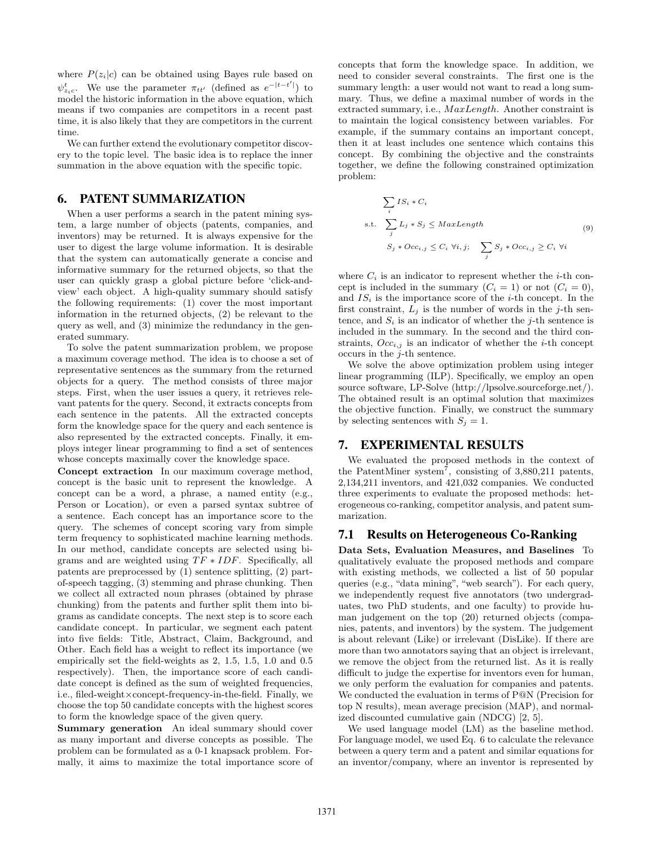where  $P(z_i|c)$  can be obtained using Bayes rule based on  $\psi_{z_ic}^t$ . We use the parameter  $\pi_{tt'}$  (defined as  $e^{-|t-t'|}$ ) to model the historic information in the above equation, which means if two companies are competitors in a recent past time, it is also likely that they are competitors in the current time.

We can further extend the evolutionary competitor discovery to the topic level. The basic idea is to replace the inner summation in the above equation with the specific topic.

## **6. PATENT SUMMARIZATION**

When a user performs a search in the patent mining system, a large number of objects (patents, companies, and inventors) may be returned. It is always expensive for the user to digest the large volume information. It is desirable that the system can automatically generate a concise and informative summary for the returned objects, so that the user can quickly grasp a global picture before 'click-andview' each object. A high-quality summary should satisfy the following requirements: (1) cover the most important information in the returned objects, (2) be relevant to the query as well, and (3) minimize the redundancy in the generated summary.

To solve the patent summarization problem, we propose a maximum coverage method. The idea is to choose a set of representative sentences as the summary from the returned objects for a query. The method consists of three major steps. First, when the user issues a query, it retrieves relevant patents for the query. Second, it extracts concepts from each sentence in the patents. All the extracted concepts form the knowledge space for the query and each sentence is also represented by the extracted concepts. Finally, it employs integer linear programming to find a set of sentences whose concepts maximally cover the knowledge space.

**Concept extraction** In our maximum coverage method, concept is the basic unit to represent the knowledge. A concept can be a word, a phrase, a named entity (e.g., Person or Location), or even a parsed syntax subtree of a sentence. Each concept has an importance score to the query. The schemes of concept scoring vary from simple term frequency to sophisticated machine learning methods. In our method, candidate concepts are selected using bigrams and are weighted using  $TF * IDF$ . Specifically, all patents are preprocessed by (1) sentence splitting, (2) partof-speech tagging, (3) stemming and phrase chunking. Then we collect all extracted noun phrases (obtained by phrase chunking) from the patents and further split them into bigrams as candidate concepts. The next step is to score each candidate concept. In particular, we segment each patent into five fields: Title, Abstract, Claim, Background, and Other. Each field has a weight to reflect its importance (we empirically set the field-weights as 2, 1.5, 1.5, 1.0 and 0.5 respectively). Then, the importance score of each candidate concept is defined as the sum of weighted frequencies, i.e., filed-weight×concept-frequency-in-the-field. Finally, we choose the top 50 candidate concepts with the highest scores to form the knowledge space of the given query.

**Summary generation** An ideal summary should cover as many important and diverse concepts as possible. The problem can be formulated as a 0-1 knapsack problem. Formally, it aims to maximize the total importance score of concepts that form the knowledge space. In addition, we need to consider several constraints. The first one is the summary length: a user would not want to read a long summary. Thus, we define a maximal number of words in the extracted summary, i.e.,  $MaxLength$ . Another constraint is to maintain the logical consistency between variables. For example, if the summary contains an important concept, then it at least includes one sentence which contains this concept. By combining the objective and the constraints together, we define the following constrained optimization problem:

$$
\sum_{i} IS_{i} * C_{i}
$$
  
s.t. 
$$
\sum_{j} L_{j} * S_{j} \leq MaxLength
$$
  

$$
S_{j} * Occ_{i,j} \leq C_{i} \ \forall i, j; \quad \sum_{j} S_{j} * Occ_{i,j} \geq C_{i} \ \forall i
$$
 (9)

where  $C_i$  is an indicator to represent whether the *i*-th concept is included in the summary  $(C_i = 1)$  or not  $(C_i = 0)$ , and  $IS_i$  is the importance score of the *i*-th concept. In the first constraint,  $L_i$  is the number of words in the j-th sentence, and  $S_i$  is an indicator of whether the j-th sentence is included in the summary. In the second and the third constraints,  $Occ_{i,j}$  is an indicator of whether the *i*-th concept occurs in the j-th sentence.

We solve the above optimization problem using integer linear programming (ILP). Specifically, we employ an open source software, LP-Solve (http://lpsolve.sourceforge.net/). The obtained result is an optimal solution that maximizes the objective function. Finally, we construct the summary by selecting sentences with  $S_j = 1$ .

## **7. EXPERIMENTAL RESULTS**

We evaluated the proposed methods in the context of the PatentMiner system<sup>7</sup>, consisting of 3,880,211 patents, 2,134,211 inventors, and 421,032 companies. We conducted three experiments to evaluate the proposed methods: heterogeneous co-ranking, competitor analysis, and patent summarization.

#### **7.1 Results on Heterogeneous Co-Ranking**

**Data Sets, Evaluation Measures, and Baselines** To qualitatively evaluate the proposed methods and compare with existing methods, we collected a list of 50 popular queries (e.g., "data mining", "web search"). For each query, we independently request five annotators (two undergraduates, two PhD students, and one faculty) to provide human judgement on the top (20) returned objects (companies, patents, and inventors) by the system. The judgement is about relevant (Like) or irrelevant (DisLike). If there are more than two annotators saying that an object is irrelevant, we remove the object from the returned list. As it is really difficult to judge the expertise for inventors even for human, we only perform the evaluation for companies and patents. We conducted the evaluation in terms of P@N (Precision for top N results), mean average precision (MAP), and normalized discounted cumulative gain (NDCG) [2, 5].

We used language model (LM) as the baseline method. For language model, we used Eq. 6 to calculate the relevance between a query term and a patent and similar equations for an inventor/company, where an inventor is represented by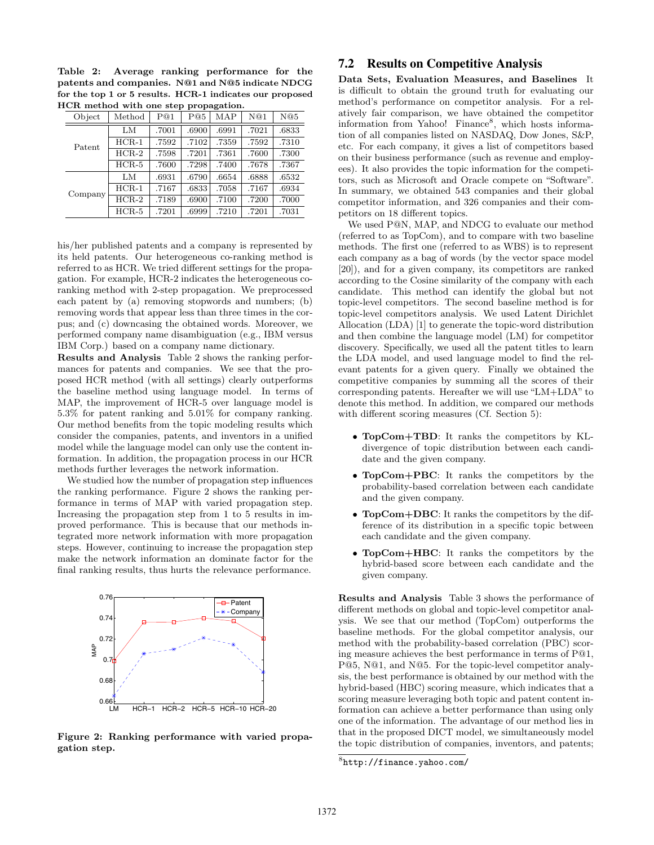**Table 2: Average ranking performance for the patents and companies. N@1 and N@5 indicate NDCG for the top 1 or 5 results. HCR-1 indicates our proposed HCR method with one step propagation.**

| Object  | Method         | P@1   | P@5   | MAP   | N@1   | N@5   |
|---------|----------------|-------|-------|-------|-------|-------|
| Patent  | LM             | .7001 | .6900 | .6991 | .7021 | .6833 |
|         | $HCR-1$        | .7592 | .7102 | .7359 | .7592 | .7310 |
|         | $HCR-2$        | .7598 | .7201 | .7361 | .7600 | .7300 |
|         | $_{\rm HCR-5}$ | .7600 | .7298 | .7400 | .7678 | .7367 |
| Company | LM             | .6931 | .6790 | .6654 | .6888 | .6532 |
|         | $HCR-1$        | .7167 | .6833 | .7058 | .7167 | .6934 |
|         | $HCR-2$        | .7189 | .6900 | .7100 | .7200 | .7000 |
|         | $HCR-5$        | .7201 | .6999 | .7210 | .7201 | .7031 |

his/her published patents and a company is represented by its held patents. Our heterogeneous co-ranking method is referred to as HCR. We tried different settings for the propagation. For example, HCR-2 indicates the heterogeneous coranking method with 2-step propagation. We preprocessed each patent by (a) removing stopwords and numbers; (b) removing words that appear less than three times in the corpus; and (c) downcasing the obtained words. Moreover, we performed company name disambiguation (e.g., IBM versus IBM Corp.) based on a company name dictionary.

**Results and Analysis** Table 2 shows the ranking performances for patents and companies. We see that the proposed HCR method (with all settings) clearly outperforms the baseline method using language model. In terms of MAP, the improvement of HCR-5 over language model is 5.3% for patent ranking and 5.01% for company ranking. Our method benefits from the topic modeling results which consider the companies, patents, and inventors in a unified model while the language model can only use the content information. In addition, the propagation process in our HCR methods further leverages the network information.

We studied how the number of propagation step influences the ranking performance. Figure 2 shows the ranking performance in terms of MAP with varied propagation step. Increasing the propagation step from 1 to 5 results in improved performance. This is because that our methods integrated more network information with more propagation steps. However, continuing to increase the propagation step make the network information an dominate factor for the final ranking results, thus hurts the relevance performance.



**Figure 2: Ranking performance with varied propagation step.**

# **7.2 Results on Competitive Analysis**

**Data Sets, Evaluation Measures, and Baselines** It is difficult to obtain the ground truth for evaluating our method's performance on competitor analysis. For a relatively fair comparison, we have obtained the competitor information from Yahoo! Finance $\delta$ , which hosts information of all companies listed on NASDAQ, Dow Jones, S&P, etc. For each company, it gives a list of competitors based on their business performance (such as revenue and employees). It also provides the topic information for the competitors, such as Microsoft and Oracle compete on "Software". In summary, we obtained 543 companies and their global competitor information, and 326 companies and their competitors on 18 different topics.

We used P@N, MAP, and NDCG to evaluate our method (referred to as TopCom), and to compare with two baseline methods. The first one (referred to as WBS) is to represent each company as a bag of words (by the vector space model [20]), and for a given company, its competitors are ranked according to the Cosine similarity of the company with each candidate. This method can identify the global but not topic-level competitors. The second baseline method is for topic-level competitors analysis. We used Latent Dirichlet Allocation (LDA) [1] to generate the topic-word distribution and then combine the language model (LM) for competitor discovery. Specifically, we used all the patent titles to learn the LDA model, and used language model to find the relevant patents for a given query. Finally we obtained the competitive companies by summing all the scores of their corresponding patents. Hereafter we will use "LM+LDA" to denote this method. In addition, we compared our methods with different scoring measures (Cf. Section 5):

- **TopCom+TBD**: It ranks the competitors by KLdivergence of topic distribution between each candidate and the given company.
- **TopCom+PBC**: It ranks the competitors by the probability-based correlation between each candidate and the given company.
- **TopCom+DBC**: It ranks the competitors by the difference of its distribution in a specific topic between each candidate and the given company.
- **TopCom+HBC**: It ranks the competitors by the hybrid-based score between each candidate and the given company.

**Results and Analysis** Table 3 shows the performance of different methods on global and topic-level competitor analysis. We see that our method (TopCom) outperforms the baseline methods. For the global competitor analysis, our method with the probability-based correlation (PBC) scoring measure achieves the best performance in terms of P@1, P@5, N@1, and N@5. For the topic-level competitor analysis, the best performance is obtained by our method with the hybrid-based (HBC) scoring measure, which indicates that a scoring measure leveraging both topic and patent content information can achieve a better performance than using only one of the information. The advantage of our method lies in that in the proposed DICT model, we simultaneously model the topic distribution of companies, inventors, and patents;

<sup>8</sup>http://finance.yahoo.com/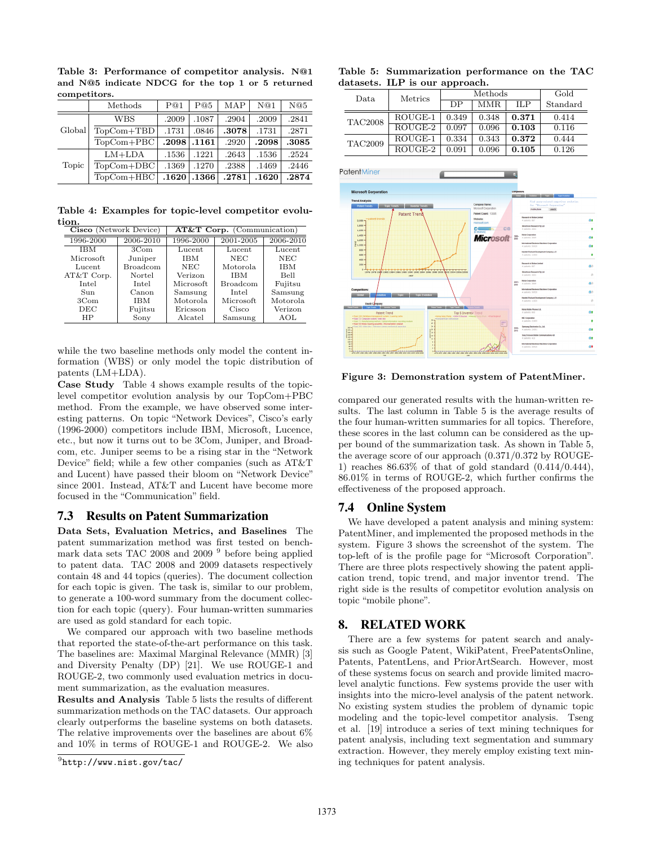**Table 3: Performance of competitor analysis. N@1 and N@5 indicate NDCG for the top 1 or 5 returned competitors.**

|        | Methods      | P@1   | P@5   | <b>MAP</b> | N@1   | N@5   |
|--------|--------------|-------|-------|------------|-------|-------|
| Global | <b>WBS</b>   | .2009 | .1087 | .2904      | .2009 | .2841 |
|        | $TopCom+TBD$ | .1731 | .0846 | .3078      | .1731 | .2871 |
|        | $TopCom+PBC$ | .2098 | .1161 | .2920      | .2098 | .3085 |
| Topic  | $LM+LDA$     | .1536 | .1221 | .2643      | .1536 | .2524 |
|        | $TopCom+DBC$ | .1369 | .1270 | .2388      | .1469 | .2446 |
|        | $TopCom+HBC$ | .1620 | .1366 | .2781      | .1620 | .2874 |

**Table 4: Examples for topic-level competitor evolution.**

| Cisco (Network Device) |                | AT&T Corp. (Communication) |                 |            |  |
|------------------------|----------------|----------------------------|-----------------|------------|--|
| 1996-2000              | 2006-2010      | 1996-2000                  | 2001-2005       | 2006-2010  |  |
| <b>IBM</b>             | $3 \text{Com}$ | Lucent                     | Lucent          | Lucent     |  |
| Microsoft              | Juniper        | <b>IBM</b>                 | NEC             | NEC        |  |
| Lucent                 | Broadcom       | <b>NEC</b>                 | Motorola        | <b>IBM</b> |  |
| $AT&T$ Corp.           | Nortel         | Verizon                    | <b>IBM</b>      | Bell       |  |
| Intel                  | Intel          | Microsoft                  | <b>Broadcom</b> | Fujitsu    |  |
| $_{\rm Sun}$           | Canon          | Samsung                    | Intel           | Samsung    |  |
| 3C <sub>om</sub>       | IBM            | Motorola.                  | Microsoft       | Motorola   |  |
| DEC                    | Fujitsu        | Ericsson                   | Cisco           | Verizon    |  |
| HP                     | Sony           | Alcatel                    | Samsung         | AOL        |  |

while the two baseline methods only model the content information (WBS) or only model the topic distribution of patents (LM+LDA).

**Case Study** Table 4 shows example results of the topiclevel competitor evolution analysis by our TopCom+PBC method. From the example, we have observed some interesting patterns. On topic "Network Devices", Cisco's early (1996-2000) competitors include IBM, Microsoft, Lucence, etc., but now it turns out to be 3Com, Juniper, and Broadcom, etc. Juniper seems to be a rising star in the "Network Device" field; while a few other companies (such as AT&T and Lucent) have passed their bloom on "Network Device" since 2001. Instead, AT&T and Lucent have become more focused in the "Communication" field.

# **7.3 Results on Patent Summarization**

**Data Sets, Evaluation Metrics, and Baselines** The patent summarization method was first tested on benchmark data sets TAC 2008 and 2009<sup>9</sup> before being applied to patent data. TAC 2008 and 2009 datasets respectively contain 48 and 44 topics (queries). The document collection for each topic is given. The task is, similar to our problem, to generate a 100-word summary from the document collection for each topic (query). Four human-written summaries are used as gold standard for each topic.

We compared our approach with two baseline methods that reported the state-of-the-art performance on this task. The baselines are: Maximal Marginal Relevance (MMR) [3] and Diversity Penalty (DP) [21]. We use ROUGE-1 and ROUGE-2, two commonly used evaluation metrics in document summarization, as the evaluation measures.

**Results and Analysis** Table 5 lists the results of different summarization methods on the TAC datasets. Our approach clearly outperforms the baseline systems on both datasets. The relative improvements over the baselines are about 6% and 10% in terms of ROUGE-1 and ROUGE-2. We also

**Table 5: Summarization performance on the TAC datasets. ILP is our approach.**

| Data           | Metrics   |       | Gold  |       |          |  |
|----------------|-----------|-------|-------|-------|----------|--|
|                |           | DP    | MMR.  | ILP   | Standard |  |
| <b>TAC2008</b> | ROUGE-1   | 0.349 | 0.348 | 0.371 | 0.414    |  |
|                | $ROUGE-2$ | 0.097 | 0.096 | 0.103 | 0.116    |  |
| <b>TAC2009</b> | ROUGE-1   | 0.334 | 0.343 | 0.372 | 0.444    |  |
|                | ROUGE-2   | 0.091 | 0.096 | 0.105 | 0.126    |  |



**Figure 3: Demonstration system of PatentMiner.**

compared our generated results with the human-written results. The last column in Table 5 is the average results of the four human-written summaries for all topics. Therefore, these scores in the last column can be considered as the upper bound of the summarization task. As shown in Table 5, the average score of our approach (0.371/0.372 by ROUGE-1) reaches 86.63% of that of gold standard (0.414/0.444), 86.01% in terms of ROUGE-2, which further confirms the effectiveness of the proposed approach.

# **7.4 Online System**

We have developed a patent analysis and mining system: PatentMiner, and implemented the proposed methods in the system. Figure 3 shows the screenshot of the system. The top-left of is the profile page for "Microsoft Corporation". There are three plots respectively showing the patent application trend, topic trend, and major inventor trend. The right side is the results of competitor evolution analysis on topic "mobile phone".

# **8. RELATED WORK**

There are a few systems for patent search and analysis such as Google Patent, WikiPatent, FreePatentsOnline, Patents, PatentLens, and PriorArtSearch. However, most of these systems focus on search and provide limited macrolevel analytic functions. Few systems provide the user with insights into the micro-level analysis of the patent network. No existing system studies the problem of dynamic topic modeling and the topic-level competitor analysis. Tseng et al. [19] introduce a series of text mining techniques for patent analysis, including text segmentation and summary extraction. However, they merely employ existing text mining techniques for patent analysis.

<sup>9</sup>http://www.nist.gov/tac/